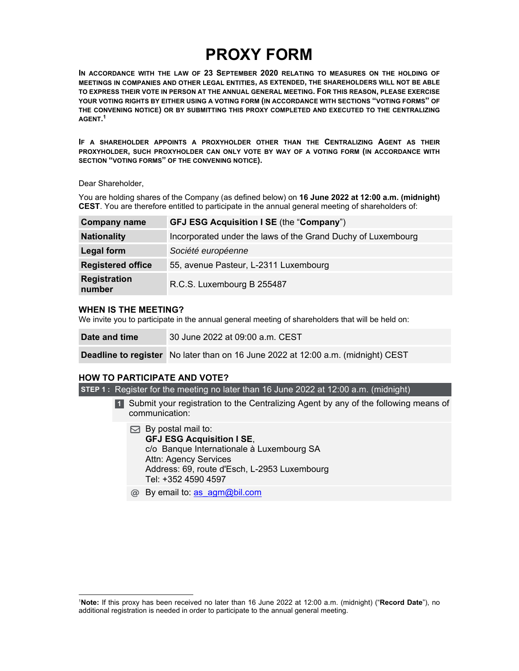# **PROXY FORM**

**IN ACCORDANCE WITH THE LAW OF 23 SEPTEMBER 2020 RELATING TO MEASURES ON THE HOLDING OF MEETINGS IN COMPANIES AND OTHER LEGAL ENTITIES, AS EXTENDED, THE SHAREHOLDERS WILL NOT BE ABLE TO EXPRESS THEIR VOTE IN PERSON AT THE ANNUAL GENERAL MEETING. FOR THIS REASON, PLEASE EXERCISE YOUR VOTING RIGHTS BY EITHER USING A VOTING FORM (IN ACCORDANCE WITH SECTIONS "VOTING FORMS" OF THE CONVENING NOTICE) OR BY SUBMITTING THIS PROXY COMPLETED AND EXECUTED TO THE CENTRALIZING AGENT. 1** 

**IF A SHAREHOLDER APPOINTS A PROXYHOLDER OTHER THAN THE CENTRALIZING AGENT AS THEIR PROXYHOLDER, SUCH PROXYHOLDER CAN ONLY VOTE BY WAY OF A VOTING FORM (IN ACCORDANCE WITH SECTION "VOTING FORMS" OF THE CONVENING NOTICE).** 

Dear Shareholder,

You are holding shares of the Company (as defined below) on **16 June 2022 at 12:00 a.m. (midnight) CEST**. You are therefore entitled to participate in the annual general meeting of shareholders of:

| <b>Company name</b>           | <b>GFJ ESG Acquisition I SE (the "Company")</b>              |
|-------------------------------|--------------------------------------------------------------|
| <b>Nationality</b>            | Incorporated under the laws of the Grand Duchy of Luxembourg |
| Legal form                    | Société européenne                                           |
| <b>Registered office</b>      | 55, avenue Pasteur, L-2311 Luxembourg                        |
| <b>Registration</b><br>number | R.C.S. Luxembourg B 255487                                   |

## **WHEN IS THE MEETING?**

We invite you to participate in the annual general meeting of shareholders that will be held on:

**Date and time** 30 June 2022 at 09:00 a.m. CEST

**Deadline to register** No later than on 16 June 2022 at 12:00 a.m. (midnight) CEST

# **HOW TO PARTICIPATE AND VOTE?**

**STEP 1 :** Register for the meeting no later than 16 June 2022 at 12:00 a.m. (midnight)

- 1 Submit your registration to the Centralizing Agent by any of the following means of communication:
	- $\boxdot$  By postal mail to: **GFJ ESG Acquisition I SE**, c/o Banque Internationale à Luxembourg SA Attn: Agency Services Address: 69, route d'Esch, L-2953 Luxembourg Tel: +352 4590 4597
	- @ By email to: as agm@bil.com

<sup>1</sup> **Note:** If this proxy has been received no later than 16 June 2022 at 12:00 a.m. (midnight) ("**Record Date**"), no additional registration is needed in order to participate to the annual general meeting.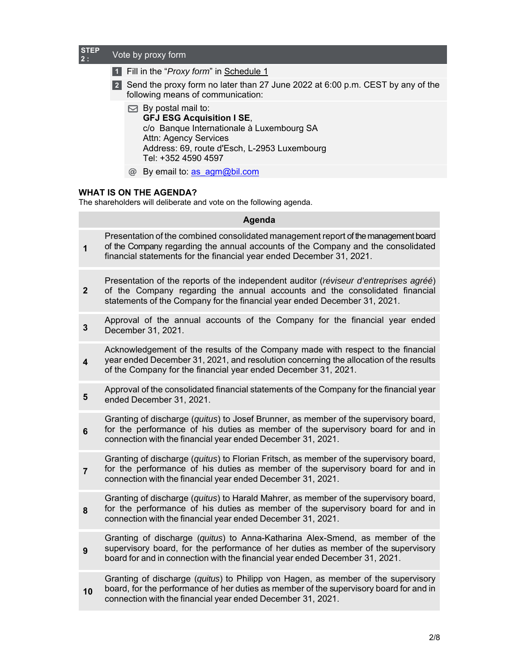## **STEP 2 :** Vote by proxy form

- Fill in the "*Proxy form*" in Schedule 1 **1**
- 2 Send the proxy form no later than 27 June 2022 at 6:00 p.m. CEST by any of the following means of communication:
	- $\boxdot$  By postal mail to: **GFJ ESG Acquisition I SE**, c/o Banque Internationale à Luxembourg SA Attn: Agency Services Address: 69, route d'Esch, L-2953 Luxembourg Tel: +352 4590 4597
	- @ By email to: as\_agm@bil.com

# **WHAT IS ON THE AGENDA?**

The shareholders will deliberate and vote on the following agenda.

|                         | Agenda                                                                                                                                                                                                                                             |  |  |  |  |
|-------------------------|----------------------------------------------------------------------------------------------------------------------------------------------------------------------------------------------------------------------------------------------------|--|--|--|--|
| $\mathbf 1$             | Presentation of the combined consolidated management report of the management board<br>of the Company regarding the annual accounts of the Company and the consolidated<br>financial statements for the financial year ended December 31, 2021.    |  |  |  |  |
| $\mathbf{2}$            | Presentation of the reports of the independent auditor (réviseur d'entreprises agréé)<br>of the Company regarding the annual accounts and the consolidated financial<br>statements of the Company for the financial year ended December 31, 2021.  |  |  |  |  |
| 3                       | Approval of the annual accounts of the Company for the financial year ended<br>December 31, 2021.                                                                                                                                                  |  |  |  |  |
| $\overline{\mathbf{4}}$ | Acknowledgement of the results of the Company made with respect to the financial<br>year ended December 31, 2021, and resolution concerning the allocation of the results<br>of the Company for the financial year ended December 31, 2021.        |  |  |  |  |
| 5                       | Approval of the consolidated financial statements of the Company for the financial year<br>ended December 31, 2021.                                                                                                                                |  |  |  |  |
| $6\phantom{1}$          | Granting of discharge (quitus) to Josef Brunner, as member of the supervisory board,<br>for the performance of his duties as member of the supervisory board for and in<br>connection with the financial year ended December 31, 2021.             |  |  |  |  |
| $\overline{7}$          | Granting of discharge (quitus) to Florian Fritsch, as member of the supervisory board,<br>for the performance of his duties as member of the supervisory board for and in<br>connection with the financial year ended December 31, 2021.           |  |  |  |  |
| 8                       | Granting of discharge (quitus) to Harald Mahrer, as member of the supervisory board,<br>for the performance of his duties as member of the supervisory board for and in<br>connection with the financial year ended December 31, 2021.             |  |  |  |  |
| 9                       | Granting of discharge (quitus) to Anna-Katharina Alex-Smend, as member of the<br>supervisory board, for the performance of her duties as member of the supervisory<br>board for and in connection with the financial year ended December 31, 2021. |  |  |  |  |
| 10                      | Granting of discharge (quitus) to Philipp von Hagen, as member of the supervisory<br>board, for the performance of her duties as member of the supervisory board for and in<br>connection with the financial year ended December 31, 2021.         |  |  |  |  |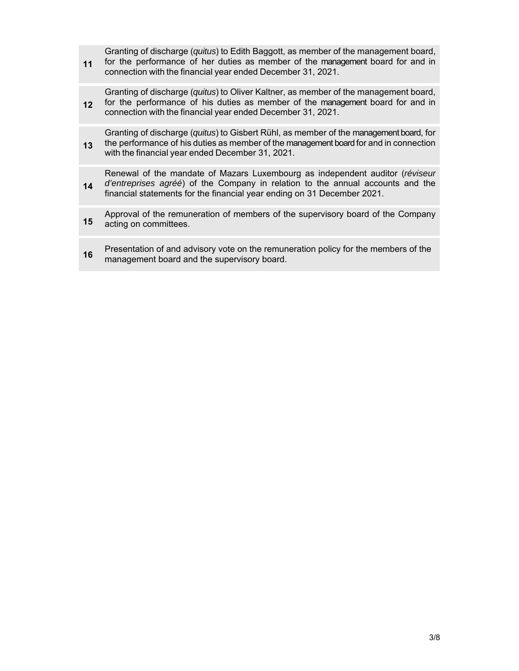**11**  Granting of discharge (*quitus*) to Edith Baggott, as member of the management board, for the performance of her duties as member of the management board for and in connection with the financial year ended December 31, 2021.

**12**  Granting of discharge (*quitus*) to Oliver Kaltner, as member of the management board, for the performance of his duties as member of the management board for and in connection with the financial year ended December 31, 2021.

**13**  Granting of discharge (*quitus*) to Gisbert Rühl, as member of the management board, for the performance of his duties as member of the management board for and in connection with the financial year ended December 31, 2021.

**14**  Renewal of the mandate of Mazars Luxembourg as independent auditor (*réviseur d'entreprises agréé*) of the Company in relation to the annual accounts and the financial statements for the financial year ending on 31 December 2021.

- **15** Approval of the remuneration of members of the supervisory board of the Company<br>**15** acting on committees acting on committees.
- **16** Presentation of and advisory vote on the remuneration policy for the members of the management board and the supervisory board.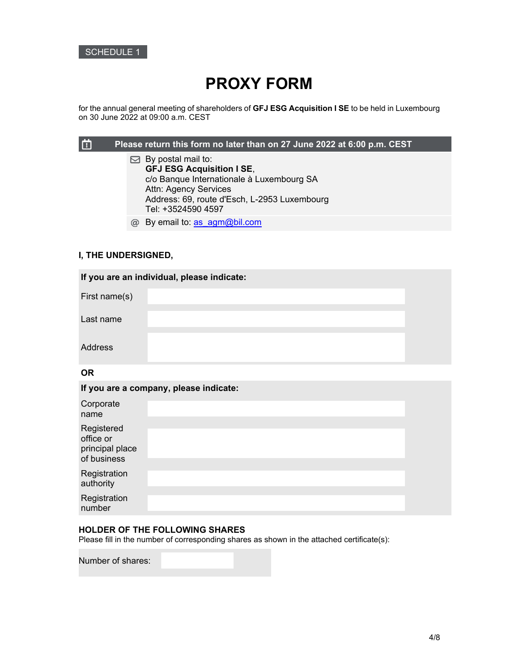

# **PROXY FORM**

for the annual general meeting of shareholders of **GFJ ESG Acquisition I SE** to be held in Luxembourg on 30 June 2022 at 09:00 a.m. CEST

#### 曲 **Please return this form no later than on 27 June 2022 at 6:00 p.m. CEST**

- $\boxdot$  By postal mail to: **GFJ ESG Acquisition I SE**, c/o Banque Internationale à Luxembourg SA Attn: Agency Services Address: 69, route d'Esch, L-2953 Luxembourg Tel: +3524590 4597
- @ By email to: as agm@bil.com

# **I, THE UNDERSIGNED,**

| If you are an individual, please indicate: |  |  |  |
|--------------------------------------------|--|--|--|
| First name(s)                              |  |  |  |
| Last name                                  |  |  |  |
| Address                                    |  |  |  |
|                                            |  |  |  |

#### **OR**

|                                                           | If you are a company, please indicate: |  |
|-----------------------------------------------------------|----------------------------------------|--|
| Corporate<br>name                                         |                                        |  |
| Registered<br>office or<br>principal place<br>of business |                                        |  |
| Registration<br>authority                                 |                                        |  |
| Registration<br>number                                    |                                        |  |

# **HOLDER OF THE FOLLOWING SHARES**

Please fill in the number of corresponding shares as shown in the attached certificate(s):

Number of shares: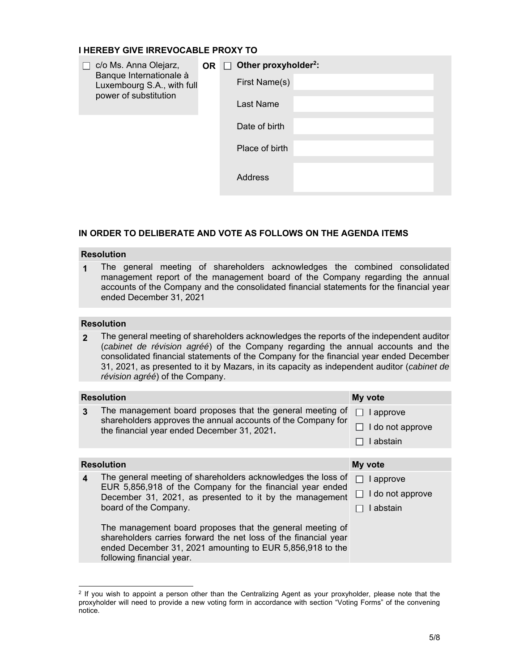# **I HEREBY GIVE IRREVOCABLE PROXY TO**

| c/o Ms. Anna Olejarz,<br>Banque Internationale à<br>Luxembourg S.A., with full |  | OR $\Box$ Other proxyholder <sup>2</sup> :<br>First Name(s) |
|--------------------------------------------------------------------------------|--|-------------------------------------------------------------|
| power of substitution                                                          |  | Last Name                                                   |
|                                                                                |  | Date of birth                                               |
|                                                                                |  | Place of birth                                              |
|                                                                                |  | Address                                                     |

# **IN ORDER TO DELIBERATE AND VOTE AS FOLLOWS ON THE AGENDA ITEMS**

## **Resolution**

**1** The general meeting of shareholders acknowledges the combined consolidated management report of the management board of the Company regarding the annual accounts of the Company and the consolidated financial statements for the financial year ended December 31, 2021

# **Resolution**

**2** The general meeting of shareholders acknowledges the reports of the independent auditor (*cabinet de révision agréé*) of the Company regarding the annual accounts and the consolidated financial statements of the Company for the financial year ended December 31, 2021, as presented to it by Mazars, in its capacity as independent auditor (*cabinet de révision agréé*) of the Company.

| <b>Resolution</b>                                                                                                                                                                         | My vote                              |
|-------------------------------------------------------------------------------------------------------------------------------------------------------------------------------------------|--------------------------------------|
| The management board proposes that the general meeting of $\Box$ I approve<br>shareholders approves the annual accounts of the Company for<br>the financial year ended December 31, 2021. | $\Box$ I do not approve<br>I abstain |

#### **Resolution My vote My vote My vote My vote My vote My vote 4** The general meeting of shareholders acknowledges the loss of EUR 5,856,918 of the Company for the financial year ended December 31, 2021, as presented to it by the management board of the Company. The management board proposes that the general meeting of shareholders carries forward the net loss of the financial year ended December 31, 2021 amounting to EUR 5,856,918 to the following financial year.  $\Box$  I approve  $\Box$  I do not approve  $\Box$  I abstain

 $2$  If you wish to appoint a person other than the Centralizing Agent as your proxyholder, please note that the proxyholder will need to provide a new voting form in accordance with section "Voting Forms" of the convening notice.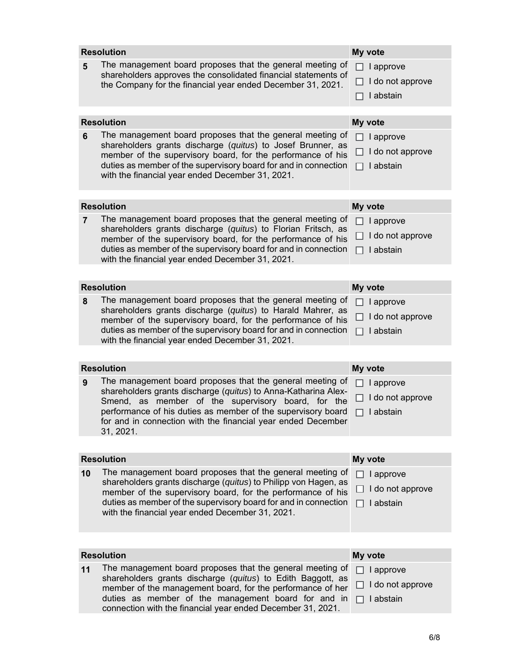|                              | <b>Resolution</b>                                                                                                                                                                                                                                                                                                |              | My vote                                    |  |  |  |
|------------------------------|------------------------------------------------------------------------------------------------------------------------------------------------------------------------------------------------------------------------------------------------------------------------------------------------------------------|--------------|--------------------------------------------|--|--|--|
| 5                            | The management board proposes that the general meeting of<br>shareholders approves the consolidated financial statements of<br>the Company for the financial year ended December 31, 2021.                                                                                                                       | H            | I approve<br>I do not approve<br>I abstain |  |  |  |
|                              |                                                                                                                                                                                                                                                                                                                  |              |                                            |  |  |  |
|                              | <b>Resolution</b>                                                                                                                                                                                                                                                                                                |              | My vote                                    |  |  |  |
| 6                            | The management board proposes that the general meeting of<br>shareholders grants discharge (quitus) to Josef Brunner, as<br>member of the supervisory board, for the performance of his<br>duties as member of the supervisory board for and in connection<br>with the financial year ended December 31, 2021.   | H            | I approve<br>I do not approve<br>I abstain |  |  |  |
|                              |                                                                                                                                                                                                                                                                                                                  |              |                                            |  |  |  |
|                              | <b>Resolution</b>                                                                                                                                                                                                                                                                                                |              | My vote                                    |  |  |  |
| $\overline{7}$               | The management board proposes that the general meeting of<br>shareholders grants discharge (quitus) to Florian Fritsch, as<br>member of the supervisory board, for the performance of his<br>duties as member of the supervisory board for and in connection<br>with the financial year ended December 31, 2021. | ΙI<br>U<br>П | I approve<br>I do not approve<br>I abstain |  |  |  |
|                              |                                                                                                                                                                                                                                                                                                                  |              |                                            |  |  |  |
|                              | <b>Resolution</b>                                                                                                                                                                                                                                                                                                |              | My vote                                    |  |  |  |
| 8                            | The management board proposes that the general meeting of                                                                                                                                                                                                                                                        |              |                                            |  |  |  |
|                              | shareholders grants discharge (quitus) to Harald Mahrer, as                                                                                                                                                                                                                                                      | ΙI           | I approve                                  |  |  |  |
|                              | member of the supervisory board, for the performance of his<br>duties as member of the supervisory board for and in connection<br>with the financial year ended December 31, 2021.                                                                                                                               | U<br>П       | I do not approve<br>I abstain              |  |  |  |
|                              |                                                                                                                                                                                                                                                                                                                  |              |                                            |  |  |  |
|                              | <b>Resolution</b>                                                                                                                                                                                                                                                                                                |              | My vote                                    |  |  |  |
| 9                            | The management board proposes that the general meeting of                                                                                                                                                                                                                                                        | l 1          | I approve                                  |  |  |  |
|                              | shareholders grants discharge (quitus) to Anna-Katharina Alex-                                                                                                                                                                                                                                                   |              |                                            |  |  |  |
|                              | Smend, as member of the supervisory board, for the                                                                                                                                                                                                                                                               | U            | I do not approve                           |  |  |  |
|                              | performance of his duties as member of the supervisory board<br>for and in connection with the financial year ended December<br>31, 2021.                                                                                                                                                                        |              | I abstain                                  |  |  |  |
|                              |                                                                                                                                                                                                                                                                                                                  |              |                                            |  |  |  |
|                              | <b>Resolution</b>                                                                                                                                                                                                                                                                                                |              |                                            |  |  |  |
|                              |                                                                                                                                                                                                                                                                                                                  |              | My vote                                    |  |  |  |
| 10                           | The management board proposes that the general meeting of<br>shareholders grants discharge (quitus) to Philipp von Hagen, as                                                                                                                                                                                     |              | I approve                                  |  |  |  |
|                              | member of the supervisory board, for the performance of his                                                                                                                                                                                                                                                      |              | I do not approve                           |  |  |  |
|                              | duties as member of the supervisory board for and in connection<br>with the financial year ended December 31, 2021.                                                                                                                                                                                              |              | I abstain                                  |  |  |  |
|                              |                                                                                                                                                                                                                                                                                                                  |              |                                            |  |  |  |
| <b>Resolution</b><br>My vote |                                                                                                                                                                                                                                                                                                                  |              |                                            |  |  |  |
| 11                           | The management board proposes that the general meeting of                                                                                                                                                                                                                                                        |              |                                            |  |  |  |
|                              | shareholders grants discharge (quitus) to Edith Baggott, as                                                                                                                                                                                                                                                      |              | I approve                                  |  |  |  |
|                              | member of the management board, for the performance of her                                                                                                                                                                                                                                                       |              | I do not approve                           |  |  |  |
|                              | duties as member of the management board for and in<br>connection with the financial year ended December 31, 2021.                                                                                                                                                                                               |              | I abstain                                  |  |  |  |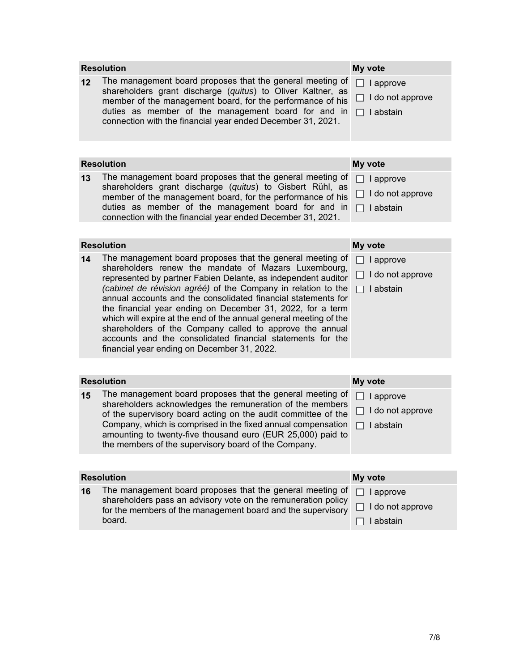|                              | <b>Resolution</b>                                                                                                                                                                                                                                                                                                                                                                                                                                                                                                                                                                                                                | My vote                                                         |  |  |  |
|------------------------------|----------------------------------------------------------------------------------------------------------------------------------------------------------------------------------------------------------------------------------------------------------------------------------------------------------------------------------------------------------------------------------------------------------------------------------------------------------------------------------------------------------------------------------------------------------------------------------------------------------------------------------|-----------------------------------------------------------------|--|--|--|
| 12                           | The management board proposes that the general meeting of<br>shareholders grant discharge (quitus) to Oliver Kaltner, as<br>member of the management board, for the performance of his<br>duties as member of the management board for and in<br>connection with the financial year ended December 31, 2021.                                                                                                                                                                                                                                                                                                                     | $\Box$ I approve<br>$\Box$ I do not approve<br>$\Box$ I abstain |  |  |  |
|                              |                                                                                                                                                                                                                                                                                                                                                                                                                                                                                                                                                                                                                                  |                                                                 |  |  |  |
|                              | <b>Resolution</b>                                                                                                                                                                                                                                                                                                                                                                                                                                                                                                                                                                                                                | My vote                                                         |  |  |  |
| 13                           | The management board proposes that the general meeting of<br>shareholders grant discharge (quitus) to Gisbert Rühl, as<br>member of the management board, for the performance of his<br>duties as member of the management board for and in<br>connection with the financial year ended December 31, 2021.                                                                                                                                                                                                                                                                                                                       | I approve<br>H<br>I do not approve<br>H<br>$\Box$ I abstain     |  |  |  |
| <b>Resolution</b><br>My vote |                                                                                                                                                                                                                                                                                                                                                                                                                                                                                                                                                                                                                                  |                                                                 |  |  |  |
| 14                           | The management board proposes that the general meeting of<br>shareholders renew the mandate of Mazars Luxembourg,<br>represented by partner Fabien Delante, as independent auditor<br>(cabinet de révision agréé) of the Company in relation to the<br>annual accounts and the consolidated financial statements for<br>the financial year ending on December 31, 2022, for a term<br>which will expire at the end of the annual general meeting of the<br>shareholders of the Company called to approve the annual<br>accounts and the consolidated financial statements for the<br>financial year ending on December 31, 2022. | I approve<br>I do not approve<br>ப<br>I abstain<br>П            |  |  |  |
|                              |                                                                                                                                                                                                                                                                                                                                                                                                                                                                                                                                                                                                                                  |                                                                 |  |  |  |
|                              | <b>Resolution</b>                                                                                                                                                                                                                                                                                                                                                                                                                                                                                                                                                                                                                | My vote                                                         |  |  |  |
| 15                           | The management board proposes that the general meeting of<br>shareholders acknowledges the remuneration of the members<br>of the supervisory board acting on the audit committee of the<br>Company, which is comprised in the fixed annual compensation<br>amounting to twenty-five thousand euro (EUR 25,000) paid to<br>the members of the supervisory board of the Company.                                                                                                                                                                                                                                                   | I approve<br>H<br>I do not approve<br>H<br>$\Box$ I abstain     |  |  |  |
|                              |                                                                                                                                                                                                                                                                                                                                                                                                                                                                                                                                                                                                                                  |                                                                 |  |  |  |
|                              | <b>Resolution</b>                                                                                                                                                                                                                                                                                                                                                                                                                                                                                                                                                                                                                | My vote                                                         |  |  |  |

16 The management board proposes that the general meeting of **I** I approve shareholders pass an advisory vote on the remuneration policy for the members of the management board and the supervisory board.

- 
- □ I do not approve

# $\Box$  I abstain